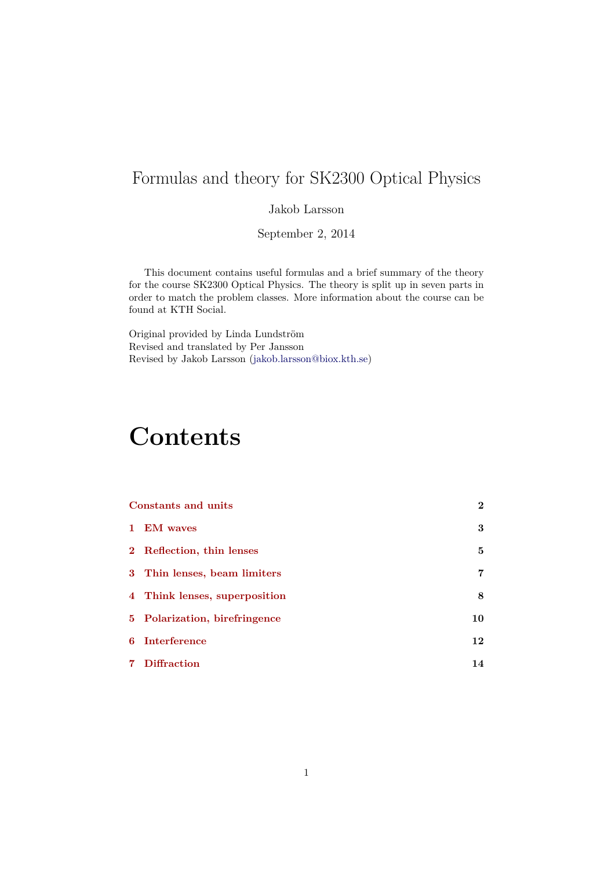# Formulas and theory for SK2300 Optical Physics

Jakob Larsson

September 2, 2014

This document contains useful formulas and a brief summary of the theory for the course SK2300 Optical Physics. The theory is split up in seven parts in order to match the problem classes. More information about the course can be found at KTH Social.

Original provided by Linda Lundström Revised and translated by Per Jansson Revised by Jakob Larsson (jakob.larsson@biox.kth.se)

# **Contents**

|    | Constants and units           | $\overline{2}$ |  |
|----|-------------------------------|----------------|--|
|    | 1 EM waves                    | 3              |  |
|    | 2 Reflection, thin lenses     | 5              |  |
|    | 3 Thin lenses, beam limiters  | 7              |  |
|    | 4 Think lenses, superposition | 8              |  |
|    | 5 Polarization, birefringence | 10             |  |
| 6. | Interference                  | 12             |  |
|    | <b>Diffraction</b>            | 14             |  |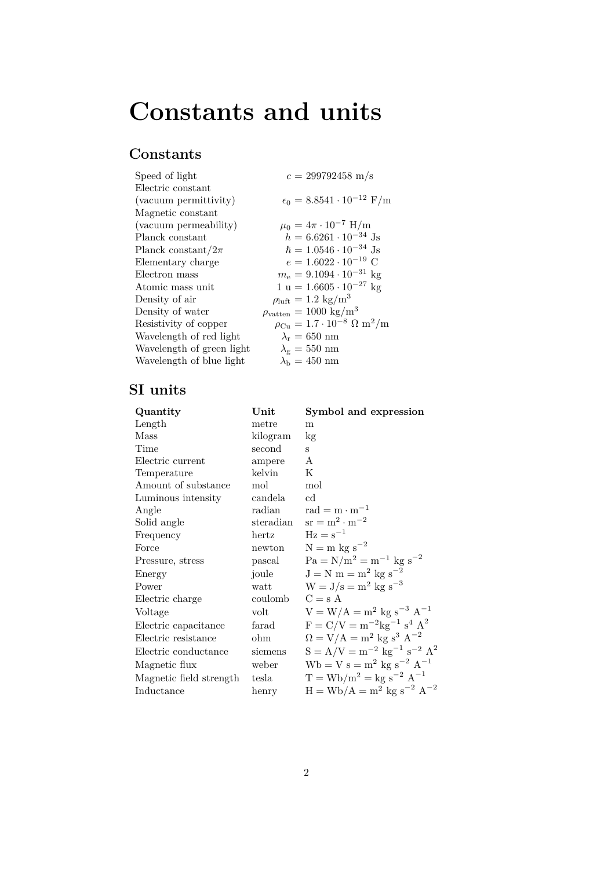# **Constants and units**

# <span id="page-1-0"></span>**Constants**

| Speed of light            | $c = 299792458$ m/s                                             |
|---------------------------|-----------------------------------------------------------------|
| Electric constant         |                                                                 |
| (vacuum permittivity)     | $\epsilon_0 = 8.8541 \cdot 10^{-12} \text{ F/m}$                |
| Magnetic constant         |                                                                 |
| (vacuum permeability)     | $\mu_0 = 4\pi \cdot 10^{-7}$ H/m                                |
| Planck constant           | $h = 6.6261 \cdot 10^{-34}$ Js                                  |
| Planck constant/ $2\pi$   | $\hbar = 1.0546 \cdot 10^{-34}$ Js                              |
| Elementary charge         | $e = 1.6022 \cdot 10^{-19}$ C                                   |
| Electron mass             | $m_e = 9.1094 \cdot 10^{-31}$ kg                                |
| Atomic mass unit          | $1 u = 1.6605 \cdot 10^{-27} kg$                                |
| Density of air            | $\rho_{\text{luff}} = 1.2 \text{ kg/m}^3$                       |
| Density of water          | $\rho_{\text{vatten}} = 1000 \text{ kg/m}^3$                    |
| Resistivity of copper     | $\rho_{\rm Cu} = 1.7 \cdot 10^{-8} \Omega \text{ m}^2/\text{m}$ |
| Wavelength of red light   | $\lambda_{\rm r} = 650~\rm nm$                                  |
| Wavelength of green light | $\lambda_{\rm g}=550~\rm nm$                                    |
| Wavelength of blue light  | $\lambda_{\rm b} = 450~\text{nm}$                               |
|                           |                                                                 |

# **SI units**

| Quantity                | $\bold{Unit}$ | Symbol and expression                                  |
|-------------------------|---------------|--------------------------------------------------------|
| Length                  | metre         | m                                                      |
| Mass                    | kilogram      | kg                                                     |
| Time                    | second        | S                                                      |
| Electric current        | ampere        | A                                                      |
| Temperature             | kelvin        | K                                                      |
| Amount of substance     | mol           | mol                                                    |
| Luminous intensity      | candela       | cd                                                     |
| Angle                   | radian        | rad = $m \cdot m^{-1}$                                 |
| Solid angle             | steradian     | $sr = m^2 \cdot m^{-2}$                                |
| Frequency               | hertz         | $\text{Hz} = \text{s}^{-1}$                            |
| Force                   | newton        | $N = m$ kg s <sup>-2</sup>                             |
| Pressure, stress        | pascal        | $Pa = N/m^2 = m^{-1}$ kg s <sup>-2</sup>               |
| Energy                  | joule         | $J = N m = m^2 kg s^{-2}$                              |
| Power                   | watt          | $W = J/s = m^2 kg s^{-3}$                              |
| Electric charge         | coulomb       | $C = s A$                                              |
| Voltage                 | volt          | $V = W/A = m^2$ kg s <sup>-3</sup> A <sup>-1</sup>     |
| Electric capacitance    | farad         | $F = C/V = m^{-2}kg^{-1} s^4 A^2$                      |
| Electric resistance     | ohm           | $\Omega = V/A = m^2$ kg s <sup>3</sup> A <sup>-2</sup> |
| Electric conductance    | siemens       | $S = A/V = m^{-2} kg^{-1} s^{-2} A^2$                  |
| Magnetic flux           | weber         | $Wb = V s = m^2 kg s^{-2} A^{-1}$                      |
| Magnetic field strength | tesla         | $T = Wb/m^2 = kg s^{-2} A^{-1}$                        |
| Inductance              | henry         | $H = Wb/A = m^2$ kg s <sup>-2</sup> A <sup>-2</sup>    |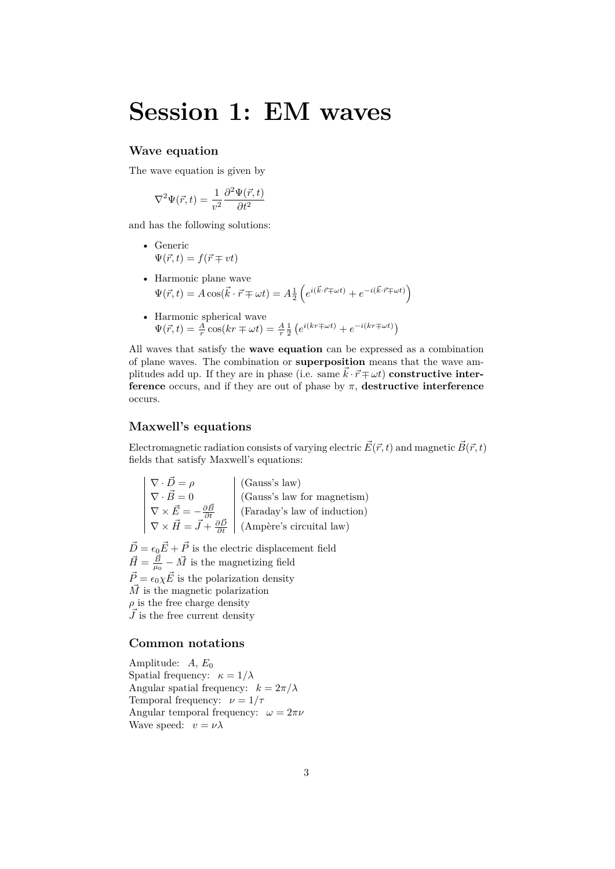# **Session 1: EM waves**

## <span id="page-2-0"></span>**Wave equation**

The wave equation is given by

$$
\nabla^2 \Psi(\vec{r},t) = \frac{1}{v^2} \frac{\partial^2 \Psi(\vec{r},t)}{\partial t^2}
$$

and has the following solutions:

- Generic  $\Psi(\vec{r},t) = f(\vec{r} \mp vt)$
- Harmonic plane wave  $\Psi(\vec{r}, t) = A \cos(\vec{k} \cdot \vec{r} \mp \omega t) = A \frac{1}{2}$  $\left(e^{i(\vec{k}\cdot\vec{r}\mp\omega t)}+e^{-i(\vec{k}\cdot\vec{r}\mp\omega t)}\right)$
- Harmonic spherical wave  $\Psi(\vec{r}, t) = \frac{A}{r} \cos(kr \mp \omega t) = \frac{A}{r} \frac{1}{2} (e^{i(kr \mp \omega t)} + e^{-i(kr \mp \omega t)})$

All waves that satisfy the **wave equation** can be expressed as a combination of plane waves. The combination or **superposition** means that the wave amplitudes add up. If they are in phase (i.e. same  $\vec{k} \cdot \vec{r} \mp \omega t$ ) **constructive interference** occurs, and if they are out of phase by  $\pi$ , **destructive interference** occurs.

# **Maxwell's equations**

Electromagnetic radiation consists of varying electric  $\vec{E}(\vec{r},t)$  and magnetic  $\vec{B}(\vec{r},t)$ fields that satisfy Maxwell's equations:

$$
\begin{vmatrix}\n\nabla \cdot \vec{D} = \rho \\
\nabla \cdot \vec{B} = 0 \\
\nabla \times \vec{E} = -\frac{\partial \vec{B}}{\partial t} \\
\nabla \times \vec{H} = \vec{J} + \frac{\partial \vec{D}}{\partial t}\n\end{vmatrix}
$$
\n(Gauss's law) (Gauss's law for magnetism)  
\n(Faraday's law of induction)  
\n(Faraday's law of induction)  
\n(Ampère's circuital law)

 $\vec{D} = \epsilon_0 \vec{E} + \vec{P}$  is the electric displacement field  $\vec{H} = \frac{\vec{B}}{\mu_0} - \vec{M}$  is the magnetizing field  $\vec{P} = \epsilon_0 \chi \vec{E}$  is the polarization density  $\vec{M}$  is the magnetic polarization  $\rho$  is the free charge density  $\vec{J}$  is the free current density

# **Common notations**

Amplitude: A,  $E_0$ Spatial frequency:  $\kappa = 1/\lambda$ Angular spatial frequency:  $k = 2\pi/\lambda$ Temporal frequency:  $\nu = 1/\tau$ Angular temporal frequency:  $\omega = 2\pi\nu$ Wave speed:  $v = \nu \lambda$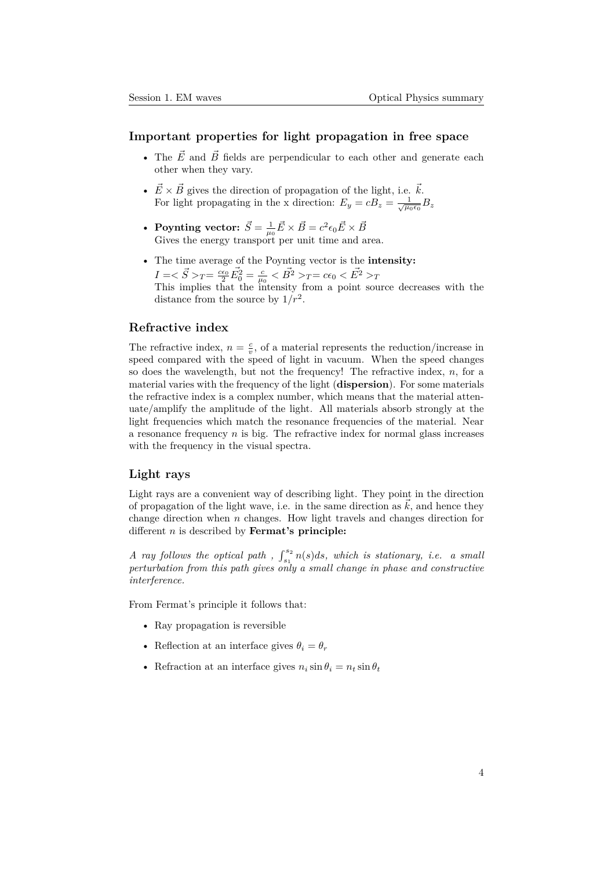## **Important properties for light propagation in free space**

- The  $\vec{E}$  and  $\vec{B}$  fields are perpendicular to each other and generate each other when they vary.
- $\vec{E} \times \vec{B}$  gives the direction of propagation of the light, i.e.  $\vec{k}$ . For light propagating in the x direction:  $E_y = cB_z = \frac{1}{\sqrt{\mu_0 \epsilon_0}} B_z$
- **Poynting vector:**  $\vec{S} = \frac{1}{\mu_0} \vec{E} \times \vec{B} = c^2 \epsilon_0 \vec{E} \times \vec{B}$ Gives the energy transport per unit time and area.
- The time average of the Poynting vector is the **intensity:**  $I = \langle \vec{S} \rangle_T = \frac{c\epsilon_0}{2} \vec{E_0^2} = \frac{c}{\mu_0} \langle \vec{B^2} \rangle_T = c\epsilon_0 \langle \vec{E^2} \rangle_T$ This implies that the intensity from a point source decreases with the distance from the source by  $1/r^2$ .

#### **Refractive index**

The refractive index,  $n = \frac{c}{v}$ , of a material represents the reduction/increase in speed compared with the speed of light in vacuum. When the speed changes so does the wavelength, but not the frequency! The refractive index, *n*, for a material varies with the frequency of the light (**dispersion**). For some materials the refractive index is a complex number, which means that the material attenuate/amplify the amplitude of the light. All materials absorb strongly at the light frequencies which match the resonance frequencies of the material. Near a resonance frequency *n* is big. The refractive index for normal glass increases with the frequency in the visual spectra.

### **Light rays**

Light rays are a convenient way of describing light. They point in the direction of propagation of the light wave, i.e. in the same direction as  $k$ , and hence they change direction when *n* changes. How light travels and changes direction for different *n* is described by **Fermat's principle:**

*A ray follows the optical path*,  $\int_{s_1}^{s_2} n(s) ds$ , which is stationary, i.e. a small *perturbation from this path gives only a small change in phase and constructive interference.*

From Fermat's principle it follows that:

- Ray propagation is reversible
- Reflection at an interface gives  $\theta_i = \theta_r$
- Refraction at an interface gives  $n_i \sin \theta_i = n_t \sin \theta_t$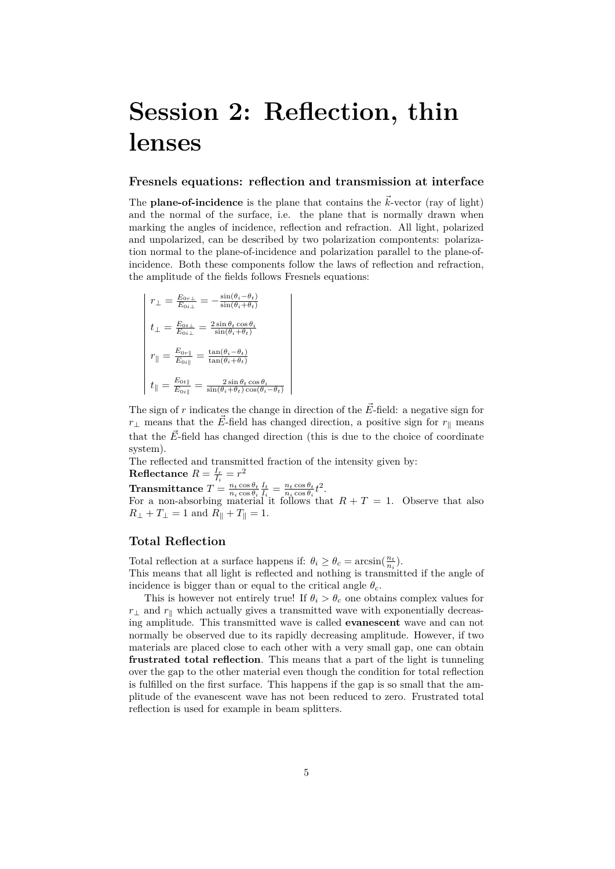# <span id="page-4-0"></span>**Session 2: Reflection, thin lenses**

#### **Fresnels equations: reflection and transmission at interface**

The **plane-of-incidence** is the plane that contains the  $\vec{k}$ -vector (ray of light) and the normal of the surface, i.e. the plane that is normally drawn when marking the angles of incidence, reflection and refraction. All light, polarized and unpolarized, can be described by two polarization compontents: polarization normal to the plane-of-incidence and polarization parallel to the plane-ofincidence. Both these components follow the laws of reflection and refraction, the amplitude of the fields follows Fresnels equations:

$$
\begin{aligned}\nr_{\perp} &= \frac{E_{0r\perp}}{E_{0i\perp}} = -\frac{\sin(\theta_i - \theta_t)}{\sin(\theta_i + \theta_t)} \\
t_{\perp} &= \frac{E_{0t\perp}}{E_{0i\perp}} = \frac{2\sin\theta_t \cos\theta_i}{\sin(\theta_i + \theta_t)} \\
r_{\parallel} &= \frac{E_{0r\parallel}}{E_{0i\parallel}} = \frac{\tan(\theta_i - \theta_t)}{\tan(\theta_i + \theta_t)} \\
t_{\parallel} &= \frac{E_{0t\parallel}}{E_{0i\parallel}} = \frac{2\sin\theta_t \cos\theta_i}{\sin(\theta_i + \theta_t)\cos(\theta_i - \theta_t)}\n\end{aligned}
$$

The sign of  $r$  indicates the change in direction of the  $\vec{E}$ -field: a negative sign for *r*<sub>⊥</sub> means that the  $\vec{E}$ -field has changed direction, a positive sign for *r*<sub>*∥*</sub> means that the  $\vec{E}$ -field has changed direction (this is due to the choice of coordinate system).

The reflected and transmitted fraction of the intensity given by:

 $\textbf{Reflectance} \ R = \frac{I_r}{I_i} = r^2$ 

 $\textbf{Transmittance} \; T = \frac{n_t \cos \theta_t}{n_i \cos \theta_i} \frac{I_t}{I_i} = \frac{n_t \cos \theta_t}{n_i \cos \theta_i} t^2.$ 

For a non-absorbing material it follows that  $R + T = 1$ . Observe that also  $R_{\perp} + T_{\perp} = 1$  and  $R_{\parallel} + T_{\parallel} = 1$ .

# **Total Reflection**

Total reflection at a surface happens if:  $\theta_i \geq \theta_c = \arcsin(\frac{n_t}{n_i})$ .

This means that all light is reflected and nothing is transmitted if the angle of incidence is bigger than or equal to the critical angle  $\theta_c$ .

This is however not entirely true! If  $\theta_i > \theta_c$  one obtains complex values for  $r_1$  and  $r_\parallel$  which actually gives a transmitted wave with exponentially decreasing amplitude. This transmitted wave is called **evanescent** wave and can not normally be observed due to its rapidly decreasing amplitude. However, if two materials are placed close to each other with a very small gap, one can obtain **frustrated total reflection**. This means that a part of the light is tunneling over the gap to the other material even though the condition for total reflection is fulfilled on the first surface. This happens if the gap is so small that the amplitude of the evanescent wave has not been reduced to zero. Frustrated total reflection is used for example in beam splitters.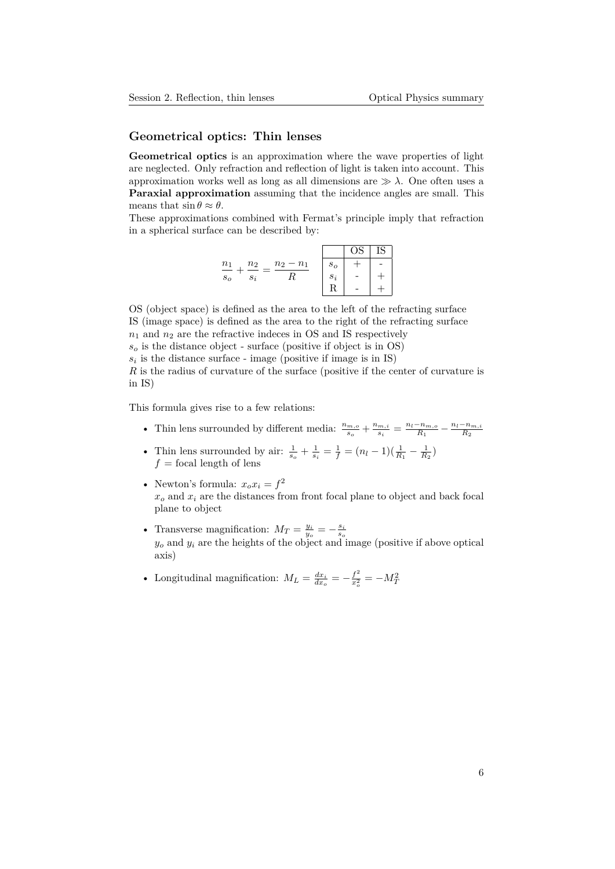### **Geometrical optics: Thin lenses**

**Geometrical optics** is an approximation where the wave properties of light are neglected. Only refraction and reflection of light is taken into account. This approximation works well as long as all dimensions are  $\gg \lambda$ . One often uses a **Paraxial approximation** assuming that the incidence angles are small. This means that  $\sin \theta \approx \theta$ .

These approximations combined with Fermat's principle imply that refraction in a spherical surface can be described by:

|                         |             |       | OS | IS |
|-------------------------|-------------|-------|----|----|
| $n_1$<br>n <sub>2</sub> | $n_2 - n_1$ | $s_o$ |    |    |
| $s_o$<br>$s_i$          |             | $s_i$ |    |    |
|                         |             | D     |    |    |

OS (object space) is defined as the area to the left of the refracting surface IS (image space) is defined as the area to the right of the refracting surface  $n_1$  and  $n_2$  are the refractive indeces in OS and IS respectively

 $s<sub>o</sub>$  is the distance object - surface (positive if object is in OS)

 $s_i$  is the distance surface - image (positive if image is in IS)

*R* is the radius of curvature of the surface (positive if the center of curvature is in IS)

This formula gives rise to a few relations:

- Thin lens surrounded by different media:  $\frac{n_{m,o}}{s_o} + \frac{n_{m,i}^2}{s_i}$  $\frac{m,i}{s_i} = \frac{n_l - n_{m,o}}{R_1} - \frac{n_l - n_{m,i}}{R_2}$
- Thin lens surrounded by air:  $\frac{1}{s_o} + \frac{1}{s_i} = \frac{1}{f} = (n_l 1)(\frac{1}{R_1} \frac{1}{R_2})$  $f =$  focal length of lens
- Newton's formula:  $x_o x_i = f^2$ *x<sup>o</sup>* and *x<sup>i</sup>* are the distances from front focal plane to object and back focal plane to object
- Transverse magnification:  $M_T = \frac{y_i}{y_o} = -\frac{s_i}{s_o}$ <br>  $y_o$  and  $y_i$  are the heights of the object and image (positive if above optical axis)
- Longitudinal magnification:  $M_L = \frac{dx_i}{dx_o} = -\frac{f^2}{x_o^2}$  $\frac{f^2}{x_o^2} = -M_T^2$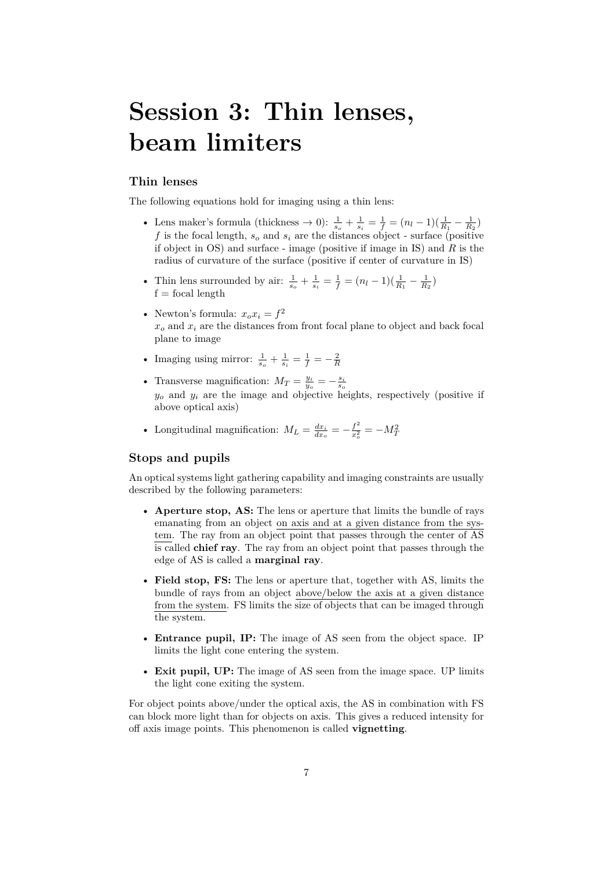# <span id="page-6-0"></span>**Session 3: Thin lenses, beam limiters**

#### **Thin lenses**

The following equations hold for imaging using a thin lens:

- Lens maker's formula (thickness  $\to 0$ ):  $\frac{1}{s_o} + \frac{1}{s_i} = \frac{1}{f} = (n_l 1)(\frac{1}{R_1} \frac{1}{R_2})$ *f* is the focal length, *s<sup>o</sup>* and *s<sup>i</sup>* are the distances object - surface (positive if object in OS) and surface - image (positive if image in IS) and *R* is the radius of curvature of the surface (positive if center of curvature in IS)
- Thin lens surrounded by air:  $\frac{1}{s_o} + \frac{1}{s_i} = \frac{1}{f} = (n_l 1)(\frac{1}{R_1} \frac{1}{R_2})$  $f = focal length$
- Newton's formula:  $x_o x_i = f^2$  $x<sub>o</sub>$  and  $x<sub>i</sub>$  are the distances from front focal plane to object and back focal plane to image
- Imaging using mirror:  $\frac{1}{s_o} + \frac{1}{s_i} = \frac{1}{f} = -\frac{2}{R}$
- Transverse magnification:  $M_T = \frac{y_i}{y_o} = -\frac{s_i}{s_o}$ <br>  $y_o$  and  $y_i$  are the image and objective heights, respectively (positive if above optical axis)
- Longitudinal magnification:  $M_L = \frac{dx_i}{dx_o} = -\frac{f^2}{x_o^2}$  $\frac{f^2}{x_o^2} = -M_T^2$

## **Stops and pupils**

An optical systems light gathering capability and imaging constraints are usually described by the following parameters:

- **Aperture stop, AS:** The lens or aperture that limits the bundle of rays emanating from an object on axis and at a given distance from the system. The ray from an object point that passes through the center of AS is called **chief ray**. The ray from an object point that passes through the edge of AS is called a **marginal ray**.
- **Field stop, FS:** The lens or aperture that, together with AS, limits the bundle of rays from an object above/below the axis at a given distance from the system. FS limits the size of objects that can be imaged through the system.
- **Entrance pupil, IP:** The image of AS seen from the object space. IP limits the light cone entering the system.
- **Exit pupil, UP:** The image of AS seen from the image space. UP limits the light cone exiting the system.

For object points above/under the optical axis, the AS in combination with FS can block more light than for objects on axis. This gives a reduced intensity for off axis image points. This phenomenon is called **vignetting**.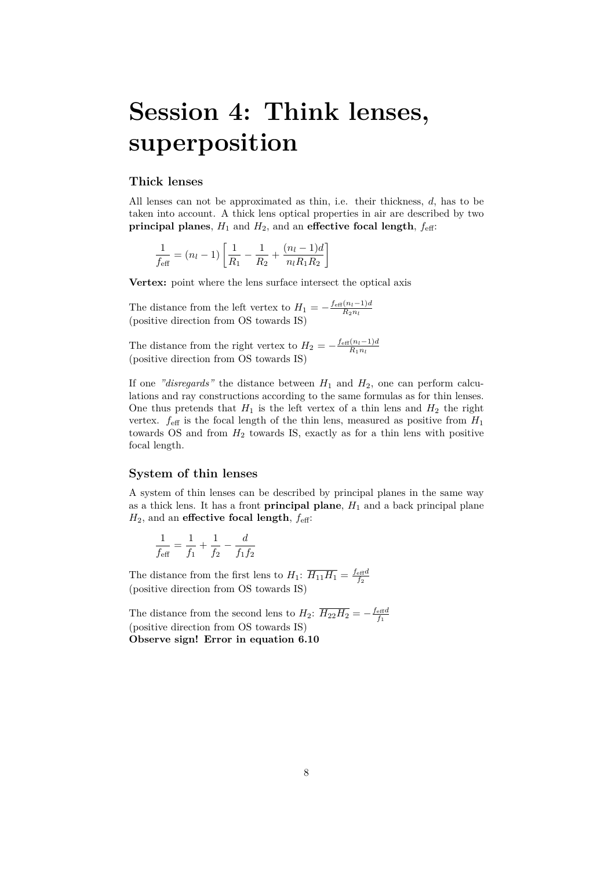# <span id="page-7-0"></span>**Session 4: Think lenses, superposition**

# **Thick lenses**

All lenses can not be approximated as thin, i.e. their thickness, *d*, has to be taken into account. A thick lens optical properties in air are described by two **principal planes**,  $H_1$  and  $H_2$ , and an **effective focal length**,  $f_{\text{eff}}$ :

$$
\frac{1}{f_{\text{eff}}} = (n_l - 1) \left[ \frac{1}{R_1} - \frac{1}{R_2} + \frac{(n_l - 1)d}{n_l R_1 R_2} \right]
$$

**Vertex:** point where the lens surface intersect the optical axis

The distance from the left vertex to  $H_1 = -\frac{f_{\text{eff}}(n_l-1)d}{R_2n_l}$ (positive direction from OS towards IS)

The distance from the right vertex to  $H_2 = -\frac{f_{\text{eff}}(n_l-1)d}{R_1n_l}$ (positive direction from OS towards IS)

If one *"disregards"* the distance between  $H_1$  and  $H_2$ , one can perform calculations and ray constructions according to the same formulas as for thin lenses. One thus pretends that  $H_1$  is the left vertex of a thin lens and  $H_2$  the right vertex.  $f_{\text{eff}}$  is the focal length of the thin lens, measured as positive from  $H_1$ towards OS and from *H*<sup>2</sup> towards IS, exactly as for a thin lens with positive focal length.

# **System of thin lenses**

A system of thin lenses can be described by principal planes in the same way as a thick lens. It has a front **principal plane**,  $H_1$  and a back principal plane  $H_2$ , and an **effective focal length**,  $f_{\text{eff}}$ :

$$
\frac{1}{f_{\text{eff}}} = \frac{1}{f_1} + \frac{1}{f_2} - \frac{d}{f_1 f_2}
$$

The distance from the first lens to  $H_1$ :  $\overline{H_{11}H_1} = \frac{f_{\text{eff}}d}{f_2}$ (positive direction from OS towards IS)

The distance from the second lens to  $H_2$ :  $\overline{H_{22}H_2} = -\frac{f_{\text{eff}}d}{f_1}$ (positive direction from OS towards IS) **Observe sign! Error in equation 6.10**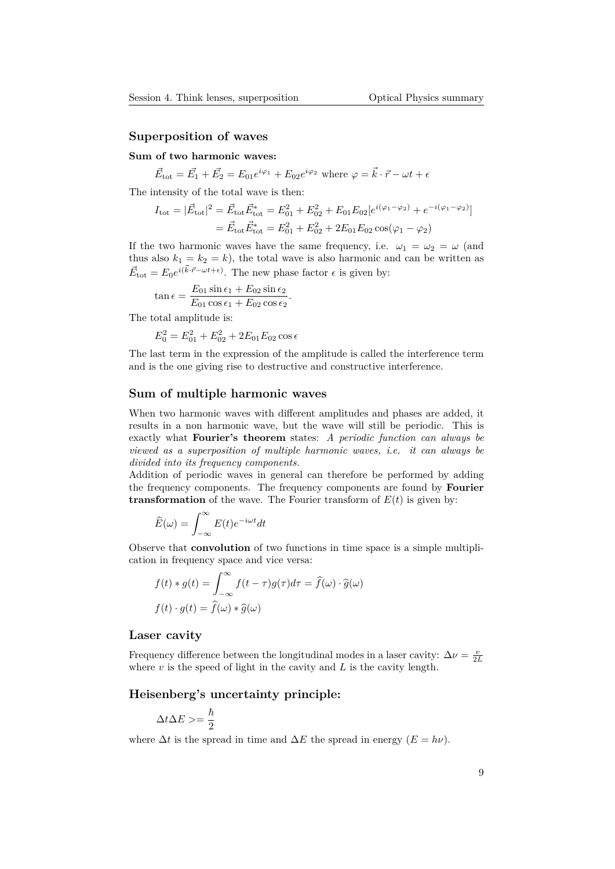#### **Superposition of waves**

### **Sum of two harmonic waves:**

 $\vec{E}_{\text{tot}} = \vec{E_1} + \vec{E_2} = E_{01}e^{i\varphi_1} + E_{02}e^{i\varphi_2}$  where  $\varphi = \vec{k} \cdot \vec{r} - \omega t + \epsilon$ 

The intensity of the total wave is then:

$$
I_{\text{tot}} = |\vec{E}_{\text{tot}}|^2 = \vec{E}_{\text{tot}} \vec{E}_{\text{tot}}^* = E_{01}^2 + E_{02}^2 + E_{01} E_{02} [e^{i(\varphi_1 - \varphi_2)} + e^{-i(\varphi_1 - \varphi_2)}]
$$
  
=  $\vec{E}_{\text{tot}} \vec{E}_{\text{tot}}^* = E_{01}^2 + E_{02}^2 + 2E_{01} E_{02} \cos(\varphi_1 - \varphi_2)$ 

If the two harmonic waves have the same frequency, i.e.  $\omega_1 = \omega_2 = \omega$  (and thus also  $k_1 = k_2 = k$ , the total wave is also harmonic and can be written as  $\vec{E}_{\text{tot}} = E_0 e^{i(\vec{k} \cdot \vec{r} - \omega t + \epsilon)}$ . The new phase factor  $\epsilon$  is given by:

$$
\tan \epsilon = \frac{E_{01} \sin \epsilon_1 + E_{02} \sin \epsilon_2}{E_{01} \cos \epsilon_1 + E_{02} \cos \epsilon_2}.
$$

The total amplitude is:

$$
E_0^2 = E_{01}^2 + E_{02}^2 + 2E_{01}E_{02}\cos\epsilon
$$

The last term in the expression of the amplitude is called the interference term and is the one giving rise to destructive and constructive interference.

#### **Sum of multiple harmonic waves**

When two harmonic waves with different amplitudes and phases are added, it results in a non harmonic wave, but the wave will still be periodic. This is exactly what **Fourier's theorem** states: *A periodic function can always be viewed as a superposition of multiple harmonic waves, i.e. it can always be divided into its frequency components.*

Addition of periodic waves in general can therefore be performed by adding the frequency components. The frequency components are found by **Fourier transformation** of the wave. The Fourier transform of  $E(t)$  is given by:

$$
\widehat{E}(\omega) = \int_{-\infty}^{\infty} E(t)e^{-i\omega t}dt
$$

Observe that **convolution** of two functions in time space is a simple multiplication in frequency space and vice versa:

$$
f(t) * g(t) = \int_{-\infty}^{\infty} f(t - \tau)g(\tau)d\tau = \hat{f}(\omega) \cdot \hat{g}(\omega)
$$

$$
f(t) \cdot g(t) = \hat{f}(\omega) * \hat{g}(\omega)
$$

### **Laser cavity**

Frequency difference between the longitudinal modes in a laser cavity:  $\Delta \nu = \frac{v}{2L}$ where  $v$  is the speed of light in the cavity and  $L$  is the cavity length.

#### **Heisenberg's uncertainty principle:**

$$
\Delta t \Delta E > = \frac{\hbar}{2}
$$

where  $\Delta t$  is the spread in time and  $\Delta E$  the spread in energy  $(E = h\nu)$ .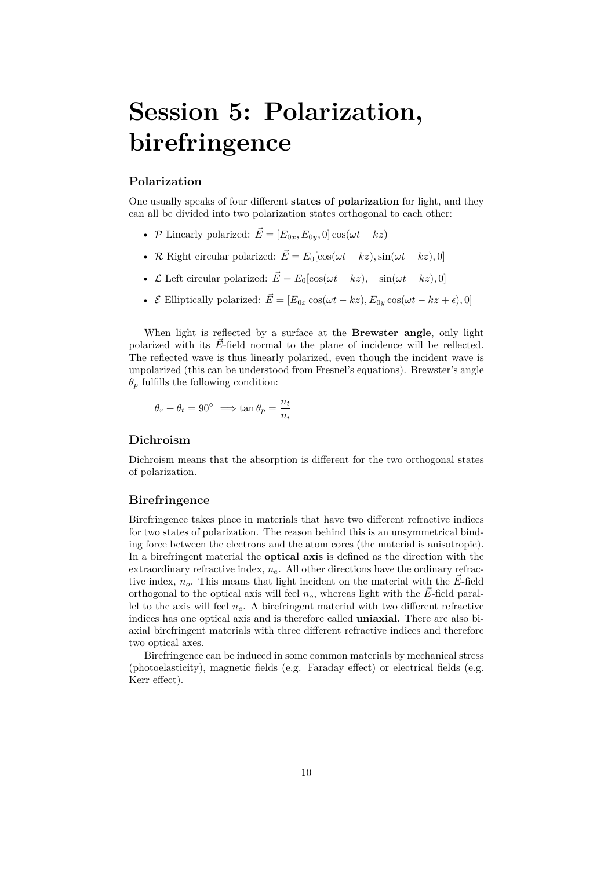# <span id="page-9-0"></span>**Session 5: Polarization, birefringence**

#### **Polarization**

One usually speaks of four different **states of polarization** for light, and they can all be divided into two polarization states orthogonal to each other:

- *P* Linearly polarized:  $\vec{E} = [E_{0x}, E_{0y}, 0] \cos(\omega t kz)$
- *R* Right circular polarized:  $\vec{E} = E_0[\cos(\omega t kz), \sin(\omega t kz), 0]$
- *L* Left circular polarized:  $\vec{E} = E_0[\cos(\omega t kz), -\sin(\omega t kz), 0]$
- *E* Elliptically polarized:  $\vec{E} = [E_{0x} \cos(\omega t kz), E_{0y} \cos(\omega t kz + \epsilon), 0]$

When light is reflected by a surface at the **Brewster angle**, only light polarized with its  $\vec{E}$ -field normal to the plane of incidence will be reflected. The reflected wave is thus linearly polarized, even though the incident wave is unpolarized (this can be understood from Fresnel's equations). Brewster's angle  $\theta$ <sup>*p*</sup> fulfills the following condition:

$$
\theta_r + \theta_t = 90^\circ \implies \tan \theta_p = \frac{n_t}{n_i}
$$

#### **Dichroism**

Dichroism means that the absorption is different for the two orthogonal states of polarization.

#### **Birefringence**

Birefringence takes place in materials that have two different refractive indices for two states of polarization. The reason behind this is an unsymmetrical binding force between the electrons and the atom cores (the material is anisotropic). In a birefringent material the **optical axis** is defined as the direction with the extraordinary refractive index,  $n_e$ . All other directions have the ordinary refractive index,  $n<sub>o</sub>$ . This means that light incident on the material with the  $\vec{E}$ -field orthogonal to the optical axis will feel  $n_o$ , whereas light with the  $\vec{E}$ -field parallel to the axis will feel  $n_e$ . A birefringent material with two different refractive indices has one optical axis and is therefore called **uniaxial**. There are also biaxial birefringent materials with three different refractive indices and therefore two optical axes.

Birefringence can be induced in some common materials by mechanical stress (photoelasticity), magnetic fields (e.g. Faraday effect) or electrical fields (e.g. Kerr effect).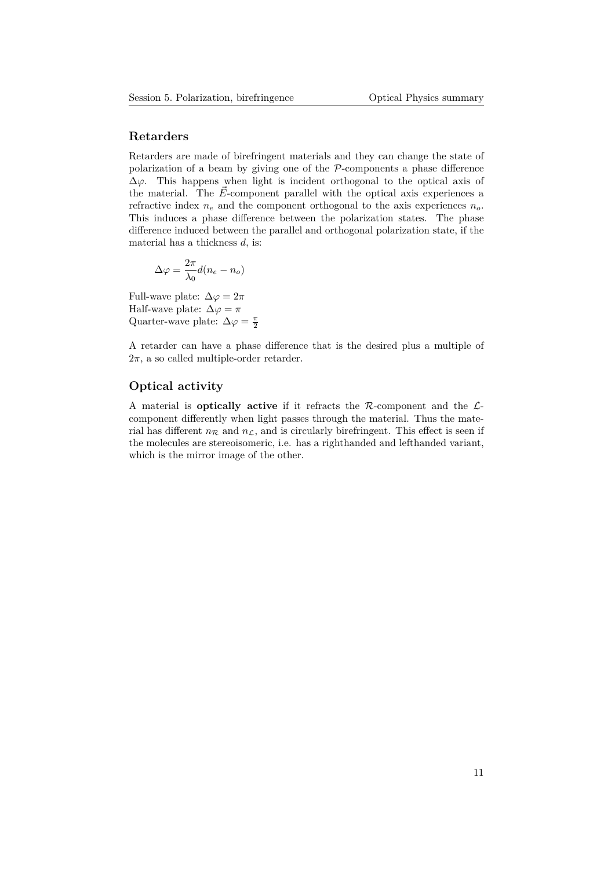# **Retarders**

Retarders are made of birefringent materials and they can change the state of polarization of a beam by giving one of the *P*-components a phase difference  $\Delta\varphi$ . This happens when light is incident orthogonal to the optical axis of the material. The  $\vec{E}$ -component parallel with the optical axis experiences a refractive index  $n_e$  and the component orthogonal to the axis experiences  $n_o$ . This induces a phase difference between the polarization states. The phase difference induced between the parallel and orthogonal polarization state, if the material has a thickness *d*, is:

$$
\Delta \varphi = \frac{2\pi}{\lambda_0} d(n_e - n_o)
$$

Full-wave plate:  $\Delta \varphi = 2\pi$ Half-wave plate:  $\Delta \varphi = \pi$ Quarter-wave plate:  $\Delta \varphi = \frac{\pi}{2}$ 

A retarder can have a phase difference that is the desired plus a multiple of  $2\pi$ , a so called multiple-order retarder.

#### **Optical activity**

A material is **optically active** if it refracts the *R*-component and the *L*component differently when light passes through the material. Thus the material has different  $n_R$  and  $n_L$ , and is circularly birefringent. This effect is seen if the molecules are stereoisomeric, i.e. has a righthanded and lefthanded variant, which is the mirror image of the other.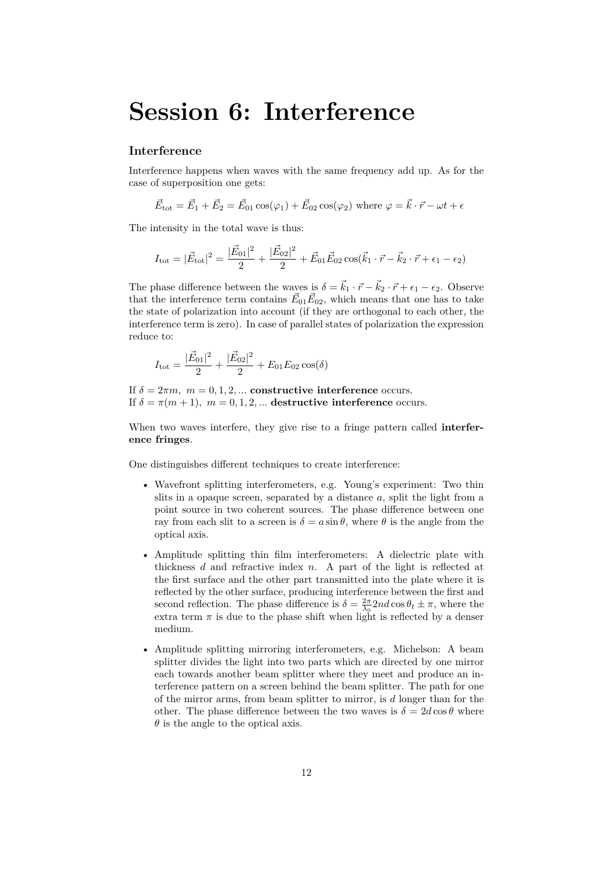# **Session 6: Interference**

### **Interference**

Interference happens when waves with the same frequency add up. As for the case of superposition one gets:

$$
\vec{E}_{\text{tot}} = \vec{E}_1 + \vec{E}_2 = \vec{E}_{01} \cos(\varphi_1) + \vec{E}_{02} \cos(\varphi_2) \text{ where } \varphi = \vec{k} \cdot \vec{r} - \omega t + \epsilon
$$

The intensity in the total wave is thus:

$$
I_{\text{tot}} = |\vec{E}_{\text{tot}}|^2 = \frac{|\vec{E}_{01}|^2}{2} + \frac{|\vec{E}_{02}|^2}{2} + \vec{E}_{01}\vec{E}_{02}\cos(\vec{k}_1 \cdot \vec{r} - \vec{k}_2 \cdot \vec{r} + \epsilon_1 - \epsilon_2)
$$

The phase difference between the waves is  $\delta = \vec{k}_1 \cdot \vec{r} - \vec{k}_2 \cdot \vec{r} + \epsilon_1 - \epsilon_2$ . Observe that the interference term contains  $\vec{E}_{01}\vec{E}_{02}$ , which means that one has to take the state of polarization into account (if they are orthogonal to each other, the interference term is zero). In case of parallel states of polarization the expression reduce to:

$$
I_{\text{tot}} = \frac{|\vec{E}_{01}|^2}{2} + \frac{|\vec{E}_{02}|^2}{2} + E_{01}E_{02}\cos(\delta)
$$

If  $\delta = 2\pi m$ ,  $m = 0, 1, 2, ...$  **constructive interference** occurs. If  $\delta = \pi(m+1)$ ,  $m = 0, 1, 2, ...$  destructive interference occurs.

When two waves interfere, they give rise to a fringe pattern called **interference fringes**.

One distinguishes different techniques to create interference:

- Wavefront splitting interferometers, e.g. Young's experiment: Two thin slits in a opaque screen, separated by a distance *a*, split the light from a point source in two coherent sources. The phase difference between one ray from each slit to a screen is  $\delta = a \sin \theta$ , where  $\theta$  is the angle from the optical axis.
- Amplitude splitting thin film interferometers: A dielectric plate with thickness *d* and refractive index *n*. A part of the light is reflected at the first surface and the other part transmitted into the plate where it is reflected by the other surface, producing interference between the first and second reflection. The phase difference is  $\delta = \frac{2\pi}{\lambda_0} 2nd \cos \theta_t \pm \pi$ , where the extra term  $\pi$  is due to the phase shift when light is reflected by a denser medium.
- Amplitude splitting mirroring interferometers, e.g. Michelson: A beam splitter divides the light into two parts which are directed by one mirror each towards another beam splitter where they meet and produce an interference pattern on a screen behind the beam splitter. The path for one of the mirror arms, from beam splitter to mirror, is *d* longer than for the other. The phase difference between the two waves is  $\delta = 2d \cos \theta$  where  $\theta$  is the angle to the optical axis.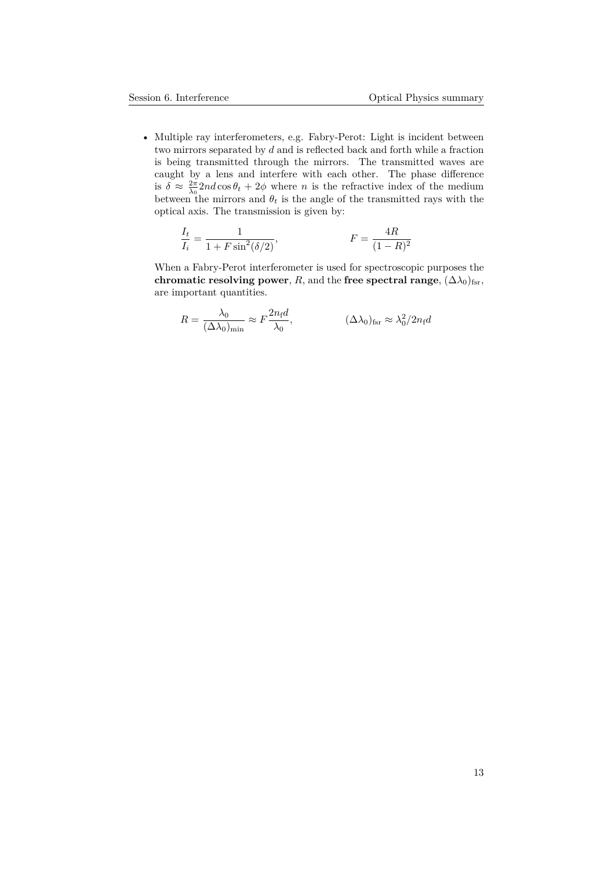• Multiple ray interferometers, e.g. Fabry-Perot: Light is incident between two mirrors separated by *d* and is reflected back and forth while a fraction is being transmitted through the mirrors. The transmitted waves are caught by a lens and interfere with each other. The phase difference is  $\delta \approx \frac{2\pi}{\lambda_0}$  *nd* cos  $\theta_t + 2\phi$  where *n* is the refractive index of the medium between the mirrors and  $\theta_t$  is the angle of the transmitted rays with the optical axis. The transmission is given by:

$$
\frac{I_t}{I_i} = \frac{1}{1 + F \sin^2(\delta/2)},
$$
  $F = \frac{4R}{(1 - R)^2}$ 

When a Fabry-Perot interferometer is used for spectroscopic purposes the **chromatic resolving power**, *R*, and the **free spectral range**,  $(\Delta \lambda_0)_{\text{fsr}}$ , are important quantities.

$$
R = \frac{\lambda_0}{(\Delta \lambda_0)_{\min}} \approx F \frac{2n_{\rm f}d}{\lambda_0}, \qquad (\Delta \lambda_0)_{\rm fsr} \approx \lambda_0^2 / 2n_{\rm f}d
$$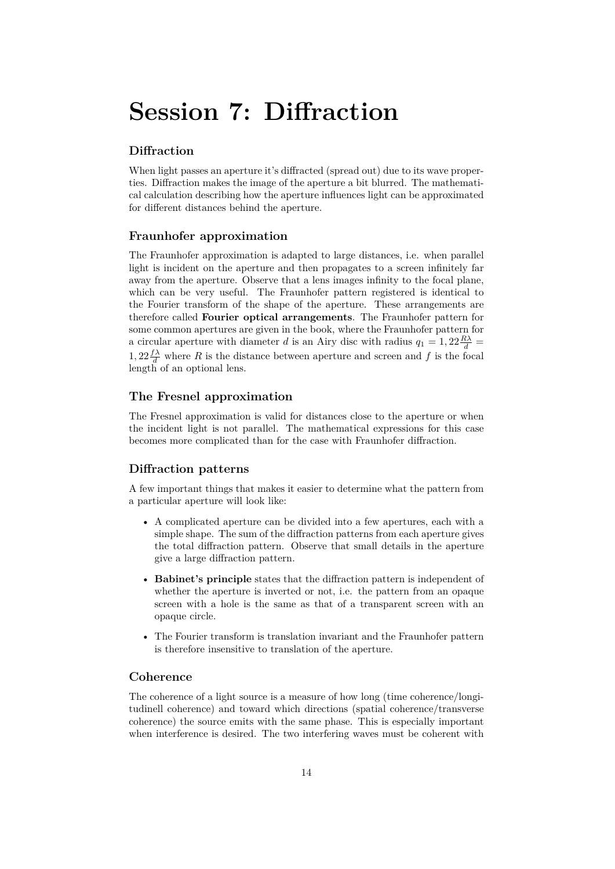# **Session 7: Diffraction**

# **Diffraction**

When light passes an aperture it's diffracted (spread out) due to its wave properties. Diffraction makes the image of the aperture a bit blurred. The mathematical calculation describing how the aperture influences light can be approximated for different distances behind the aperture.

#### **Fraunhofer approximation**

The Fraunhofer approximation is adapted to large distances, i.e. when parallel light is incident on the aperture and then propagates to a screen infinitely far away from the aperture. Observe that a lens images infinity to the focal plane, which can be very useful. The Fraunhofer pattern registered is identical to the Fourier transform of the shape of the aperture. These arrangements are therefore called **Fourier optical arrangements**. The Fraunhofer pattern for some common apertures are given in the book, where the Fraunhofer pattern for a circular aperture with diameter *d* is an Airy disc with radius  $q_1 = 1, 22 \frac{R\lambda}{d} =$ 1,  $22 \frac{f\lambda}{d}$  where *R* is the distance between aperture and screen and *f* is the focal length of an optional lens.

### **The Fresnel approximation**

The Fresnel approximation is valid for distances close to the aperture or when the incident light is not parallel. The mathematical expressions for this case becomes more complicated than for the case with Fraunhofer diffraction.

# **Diffraction patterns**

A few important things that makes it easier to determine what the pattern from a particular aperture will look like:

- A complicated aperture can be divided into a few apertures, each with a simple shape. The sum of the diffraction patterns from each aperture gives the total diffraction pattern. Observe that small details in the aperture give a large diffraction pattern.
- **Babinet's principle** states that the diffraction pattern is independent of whether the aperture is inverted or not, i.e. the pattern from an opaque screen with a hole is the same as that of a transparent screen with an opaque circle.
- The Fourier transform is translation invariant and the Fraunhofer pattern is therefore insensitive to translation of the aperture.

# **Coherence**

The coherence of a light source is a measure of how long (time coherence/longitudinell coherence) and toward which directions (spatial coherence/transverse coherence) the source emits with the same phase. This is especially important when interference is desired. The two interfering waves must be coherent with